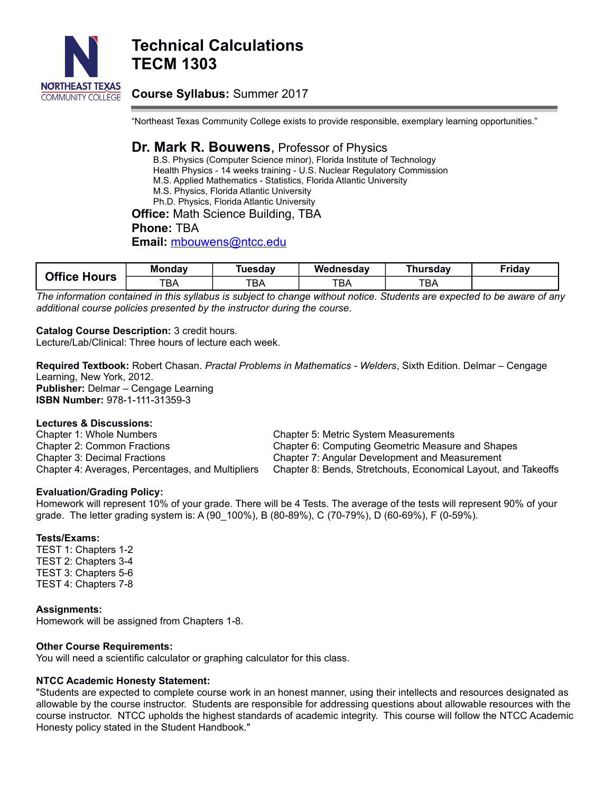

# **Technical Calculations TECM 1303**

## **Course Syllabus:** Summer 2017

"Northeast Texas Community College exists to provide responsible, exemplary learning opportunities."

### **Dr. Mark R. Bouwens**, Professor of Physics

B.S. Physics (Computer Science minor), Florida Institute of Technology Health Physics - 14 weeks training - U.S. Nuclear Regulatory Commission M.S. Applied Mathematics - Statistics, Florida Atlantic University M.S. Physics, Florida Atlantic University Ph.D. Physics, Florida Atlantic University

## **Office:** Math Science Building, TBA

**Phone:** TBA

**Email:** [mbouwens@ntcc.edu](mailto:mbouwens@ntcc.edu)

| <b>Office Hours</b> | <b>Monday</b> | Tuesdav          | Wednesday | Thursdav | <b>Friday</b> |
|---------------------|---------------|------------------|-----------|----------|---------------|
|                     | тва           | <b>TDA</b><br>DA | TBA       | твд      |               |

*The information contained in this syllabus is subject to change without notice. Students are expected to be aware of any additional course policies presented by the instructor during the course.*

#### **Catalog Course Description:** 3 credit hours.

Lecture/Lab/Clinical: Three hours of lecture each week.

**Required Textbook:** Robert Chasan. *Practal Problems in Mathematics - Welders*, Sixth Edition. Delmar – Cengage Learning, New York, 2012. **Publisher:** Delmar – Cengage Learning **ISBN Number:** 978-1-111-31359-3

#### **Lectures & Discussions:**

Chapter 1: Whole Numbers Chapter 2: Common Fractions Chapter 3: Decimal Fractions Chapter 4: Averages, Percentages, and Multipliers

Chapter 5: Metric System Measurements Chapter 6: Computing Geometric Measure and Shapes Chapter 7: Angular Development and Measurement Chapter 8: Bends, Stretchouts, Economical Layout, and Takeoffs

#### **Evaluation/Grading Policy:**

Homework will represent 10% of your grade. There will be 4 Tests. The average of the tests will represent 90% of your grade. The letter grading system is: A (90\_100%), B (80-89%), C (70-79%), D (60-69%), F (0-59%).

#### **Tests/Exams:**

TEST 1: Chapters 1-2 TEST 2: Chapters 3-4 TEST 3: Chapters 5-6 TEST 4: Chapters 7-8

**Assignments:**

Homework will be assigned from Chapters 1-8.

#### **Other Course Requirements:**

You will need a scientific calculator or graphing calculator for this class.

#### **NTCC Academic Honesty Statement:**

"Students are expected to complete course work in an honest manner, using their intellects and resources designated as allowable by the course instructor. Students are responsible for addressing questions about allowable resources with the course instructor. NTCC upholds the highest standards of academic integrity. This course will follow the NTCC Academic Honesty policy stated in the Student Handbook."